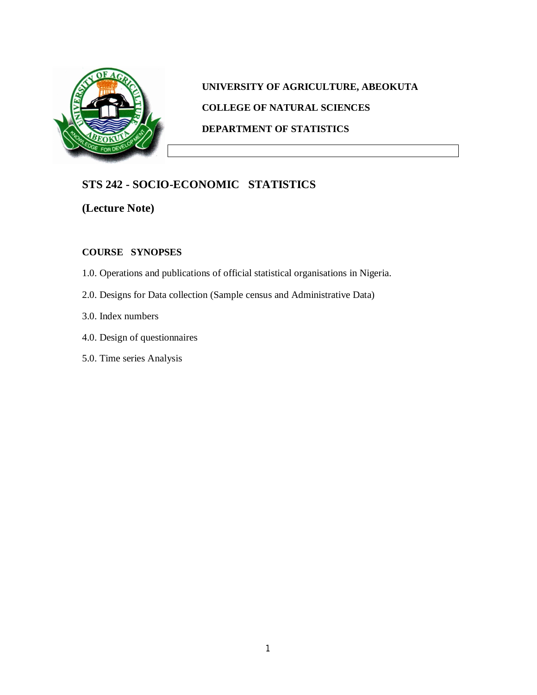

# **UNIVERSITY OF AGRICULTURE, ABEOKUTA COLLEGE OF NATURAL SCIENCES DEPARTMENT OF STATISTICS**

# **STS 242 - SOCIO-ECONOMIC STATISTICS**

**(Lecture Note)**

## **COURSE SYNOPSES**

- 1.0. Operations and publications of official statistical organisations in Nigeria.
- 2.0. Designs for Data collection (Sample census and Administrative Data)
- 3.0. Index numbers
- 4.0. Design of questionnaires
- 5.0. Time series Analysis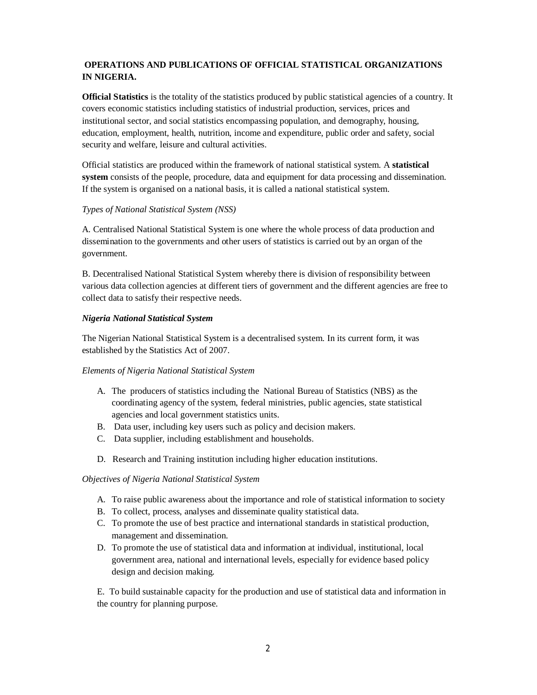## **OPERATIONS AND PUBLICATIONS OF OFFICIAL STATISTICAL ORGANIZATIONS IN NIGERIA.**

**Official Statistics** is the totality of the statistics produced by public statistical agencies of a country. It covers economic statistics including statistics of industrial production, services, prices and institutional sector, and social statistics encompassing population, and demography, housing, education, employment, health, nutrition, income and expenditure, public order and safety, social security and welfare, leisure and cultural activities.

Official statistics are produced within the framework of national statistical system. A **statistical system** consists of the people, procedure, data and equipment for data processing and dissemination. If the system is organised on a national basis, it is called a national statistical system.

## *Types of National Statistical System (NSS)*

A. Centralised National Statistical System is one where the whole process of data production and dissemination to the governments and other users of statistics is carried out by an organ of the government.

B. Decentralised National Statistical System whereby there is division of responsibility between various data collection agencies at different tiers of government and the different agencies are free to collect data to satisfy their respective needs.

## *Nigeria National Statistical System*

The Nigerian National Statistical System is a decentralised system. In its current form, it was established by the Statistics Act of 2007.

## *Elements of Nigeria National Statistical System*

- A. The producers of statistics including the National Bureau of Statistics (NBS) as the coordinating agency of the system, federal ministries, public agencies, state statistical agencies and local government statistics units.
- B. Data user, including key users such as policy and decision makers.
- C. Data supplier, including establishment and households.
- D. Research and Training institution including higher education institutions.

## *Objectives of Nigeria National Statistical System*

- A. To raise public awareness about the importance and role of statistical information to society
- B. To collect, process, analyses and disseminate quality statistical data.
- C. To promote the use of best practice and international standards in statistical production, management and dissemination.
- D. To promote the use of statistical data and information at individual, institutional, local government area, national and international levels, especially for evidence based policy design and decision making.

E. To build sustainable capacity for the production and use of statistical data and information in the country for planning purpose.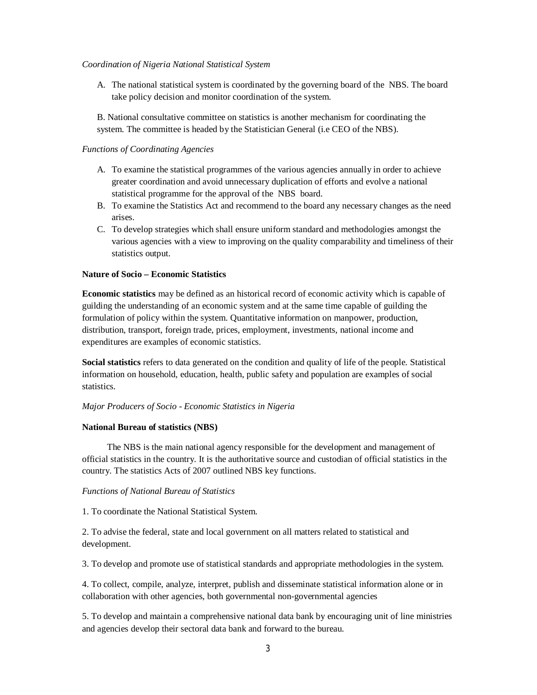#### *Coordination of Nigeria National Statistical System*

A. The national statistical system is coordinated by the governing board of the NBS. The board take policy decision and monitor coordination of the system.

B. National consultative committee on statistics is another mechanism for coordinating the system. The committee is headed by the Statistician General (i.e CEO of the NBS).

#### *Functions of Coordinating Agencies*

- A. To examine the statistical programmes of the various agencies annually in order to achieve greater coordination and avoid unnecessary duplication of efforts and evolve a national statistical programme for the approval of the NBS board.
- B. To examine the Statistics Act and recommend to the board any necessary changes as the need arises.
- C. To develop strategies which shall ensure uniform standard and methodologies amongst the various agencies with a view to improving on the quality comparability and timeliness of their statistics output.

#### **Nature of Socio – Economic Statistics**

**Economic statistics** may be defined as an historical record of economic activity which is capable of guilding the understanding of an economic system and at the same time capable of guilding the formulation of policy within the system. Quantitative information on manpower, production, distribution, transport, foreign trade, prices, employment, investments, national income and expenditures are examples of economic statistics.

**Social statistics** refers to data generated on the condition and quality of life of the people. Statistical information on household, education, health, public safety and population are examples of social statistics.

#### *Major Producers of Socio - Economic Statistics in Nigeria*

#### **National Bureau of statistics (NBS)**

 The NBS is the main national agency responsible for the development and management of official statistics in the country. It is the authoritative source and custodian of official statistics in the country. The statistics Acts of 2007 outlined NBS key functions.

#### *Functions of National Bureau of Statistics*

1. To coordinate the National Statistical System.

2. To advise the federal, state and local government on all matters related to statistical and development.

3. To develop and promote use of statistical standards and appropriate methodologies in the system.

4. To collect, compile, analyze, interpret, publish and disseminate statistical information alone or in collaboration with other agencies, both governmental non-governmental agencies

5. To develop and maintain a comprehensive national data bank by encouraging unit of line ministries and agencies develop their sectoral data bank and forward to the bureau.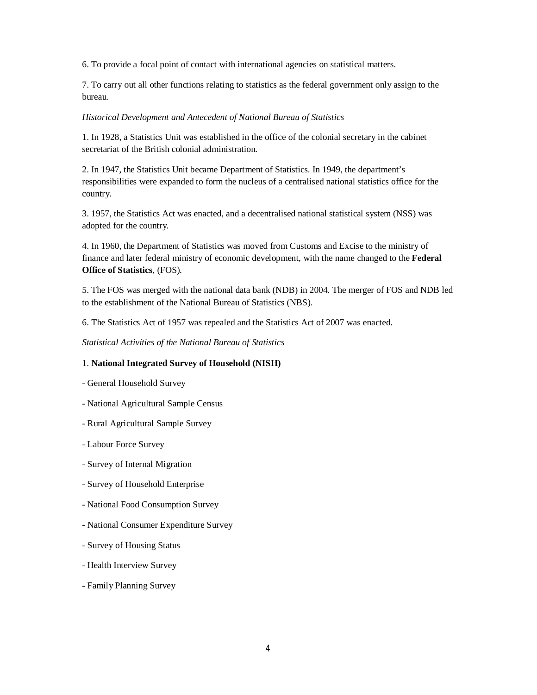6. To provide a focal point of contact with international agencies on statistical matters.

7. To carry out all other functions relating to statistics as the federal government only assign to the bureau.

#### *Historical Development and Antecedent of National Bureau of Statistics*

1. In 1928, a Statistics Unit was established in the office of the colonial secretary in the cabinet secretariat of the British colonial administration.

2. In 1947, the Statistics Unit became Department of Statistics. In 1949, the department's responsibilities were expanded to form the nucleus of a centralised national statistics office for the country.

3. 1957, the Statistics Act was enacted, and a decentralised national statistical system (NSS) was adopted for the country.

4. In 1960, the Department of Statistics was moved from Customs and Excise to the ministry of finance and later federal ministry of economic development, with the name changed to the **Federal Office of Statistics**, (FOS).

5. The FOS was merged with the national data bank (NDB) in 2004. The merger of FOS and NDB led to the establishment of the National Bureau of Statistics (NBS).

6. The Statistics Act of 1957 was repealed and the Statistics Act of 2007 was enacted.

*Statistical Activities of the National Bureau of Statistics*

## 1. **National Integrated Survey of Household (NISH)**

- General Household Survey
- National Agricultural Sample Census
- Rural Agricultural Sample Survey
- Labour Force Survey
- Survey of Internal Migration
- Survey of Household Enterprise
- National Food Consumption Survey
- National Consumer Expenditure Survey
- Survey of Housing Status
- Health Interview Survey
- Family Planning Survey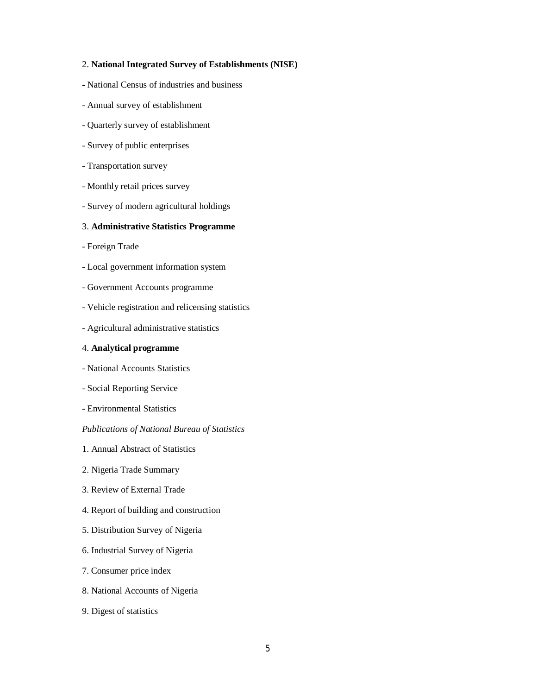#### 2. **National Integrated Survey of Establishments (NISE)**

- National Census of industries and business
- Annual survey of establishment
- Quarterly survey of establishment
- Survey of public enterprises
- Transportation survey
- Monthly retail prices survey
- Survey of modern agricultural holdings

#### 3. **Administrative Statistics Programme**

- Foreign Trade
- Local government information system
- Government Accounts programme
- Vehicle registration and relicensing statistics
- Agricultural administrative statistics

## 4. **Analytical programme**

- National Accounts Statistics
- Social Reporting Service
- Environmental Statistics

#### *Publications of National Bureau of Statistics*

- 1. Annual Abstract of Statistics
- 2. Nigeria Trade Summary
- 3. Review of External Trade
- 4. Report of building and construction
- 5. Distribution Survey of Nigeria
- 6. Industrial Survey of Nigeria
- 7. Consumer price index
- 8. National Accounts of Nigeria
- 9. Digest of statistics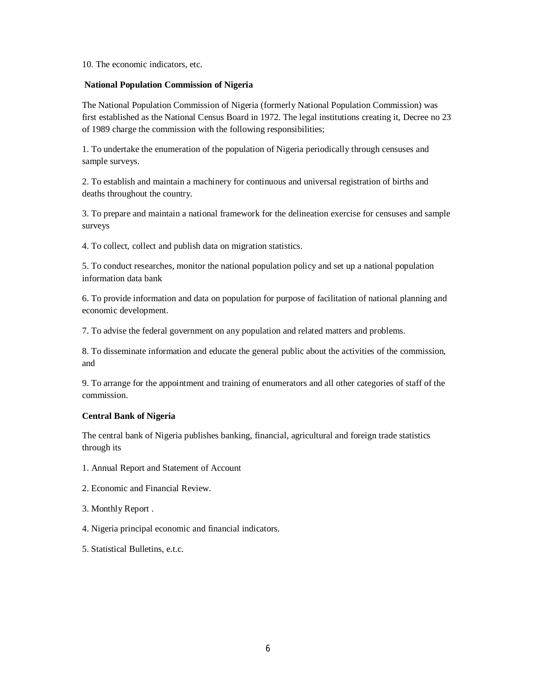10. The economic indicators, etc.

## **National Population Commission of Nigeria**

The National Population Commission of Nigeria (formerly National Population Commission) was first established as the National Census Board in 1972. The legal institutions creating it, Decree no 23 of 1989 charge the commission with the following responsibilities;

1. To undertake the enumeration of the population of Nigeria periodically through censuses and sample surveys.

2. To establish and maintain a machinery for continuous and universal registration of births and deaths throughout the country.

3. To prepare and maintain a national framework for the delineation exercise for censuses and sample surveys

4. To collect, collect and publish data on migration statistics.

5. To conduct researches, monitor the national population policy and set up a national population information data bank

6. To provide information and data on population for purpose of facilitation of national planning and economic development.

7. To advise the federal government on any population and related matters and problems.

8. To disseminate information and educate the general public about the activities of the commission, and

9. To arrange for the appointment and training of enumerators and all other categories of staff of the commission.

## **Central Bank of Nigeria**

The central bank of Nigeria publishes banking, financial, agricultural and foreign trade statistics through its

- 1. Annual Report and Statement of Account
- 2. Economic and Financial Review.
- 3. Monthly Report .
- 4. Nigeria principal economic and financial indicators.
- 5. Statistical Bulletins, e.t.c.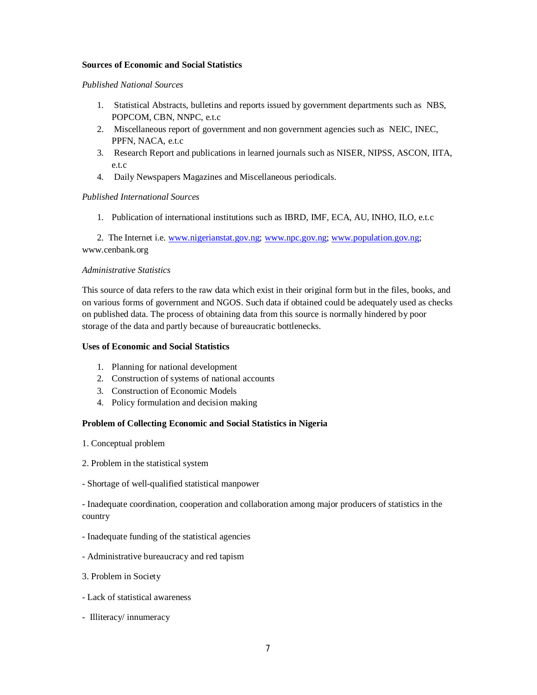## **Sources of Economic and Social Statistics**

#### *Published National Sources*

- 1. Statistical Abstracts, bulletins and reports issued by government departments such as NBS, POPCOM, CBN, NNPC, e.t.c
- 2. Miscellaneous report of government and non government agencies such as NEIC, INEC, PPFN, NACA, e.t.c
- 3. Research Report and publications in learned journals such as NISER, NIPSS, ASCON, IITA, e.t.c
- 4. Daily Newspapers Magazines and Miscellaneous periodicals.

## *Published International Sources*

1. Publication of international institutions such as IBRD, IMF, ECA, AU, INHO, ILO, e.t.c

2. The Internet i.e. www.nigerianstat.gov.ng; www.npc.gov.ng; www.population.gov.ng; www.cenbank.org

## *Administrative Statistics*

This source of data refers to the raw data which exist in their original form but in the files, books, and on various forms of government and NGOS. Such data if obtained could be adequately used as checks on published data. The process of obtaining data from this source is normally hindered by poor storage of the data and partly because of bureaucratic bottlenecks.

#### **Uses of Economic and Social Statistics**

- 1. Planning for national development
- 2. Construction of systems of national accounts
- 3. Construction of Economic Models
- 4. Policy formulation and decision making

#### **Problem of Collecting Economic and Social Statistics in Nigeria**

- 1. Conceptual problem
- 2. Problem in the statistical system
- Shortage of well-qualified statistical manpower

- Inadequate coordination, cooperation and collaboration among major producers of statistics in the country

- Inadequate funding of the statistical agencies
- Administrative bureaucracy and red tapism
- 3. Problem in Society
- Lack of statistical awareness
- Illiteracy/ innumeracy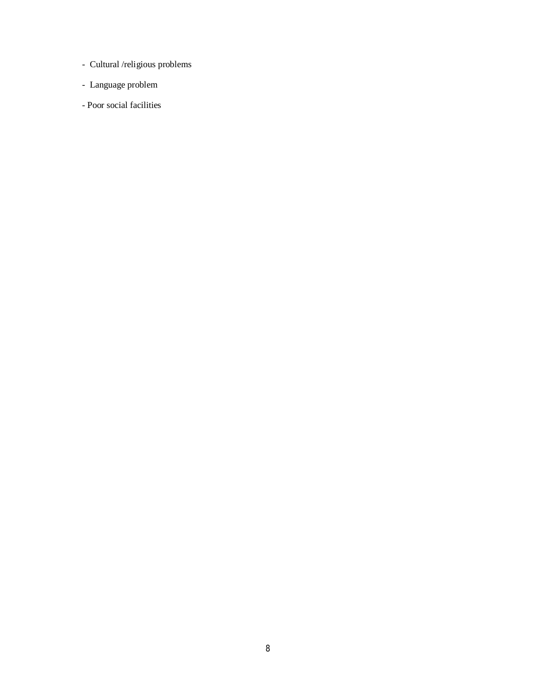- Cultural /religious problems
- Language problem
- Poor social facilities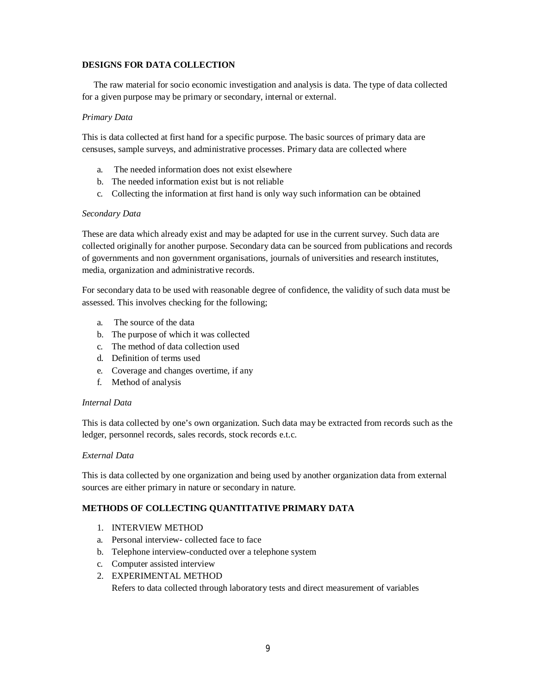## **DESIGNS FOR DATA COLLECTION**

 The raw material for socio economic investigation and analysis is data. The type of data collected for a given purpose may be primary or secondary, internal or external.

## *Primary Data*

This is data collected at first hand for a specific purpose. The basic sources of primary data are censuses, sample surveys, and administrative processes. Primary data are collected where

- a. The needed information does not exist elsewhere
- b. The needed information exist but is not reliable
- c. Collecting the information at first hand is only way such information can be obtained

## *Secondary Data*

These are data which already exist and may be adapted for use in the current survey. Such data are collected originally for another purpose. Secondary data can be sourced from publications and records of governments and non government organisations, journals of universities and research institutes, media, organization and administrative records.

For secondary data to be used with reasonable degree of confidence, the validity of such data must be assessed. This involves checking for the following;

- a. The source of the data
- b. The purpose of which it was collected
- c. The method of data collection used
- d. Definition of terms used
- e. Coverage and changes overtime, if any
- f. Method of analysis

## *Internal Data*

This is data collected by one's own organization. Such data may be extracted from records such as the ledger, personnel records, sales records, stock records e.t.c.

## *External Data*

This is data collected by one organization and being used by another organization data from external sources are either primary in nature or secondary in nature.

## **METHODS OF COLLECTING QUANTITATIVE PRIMARY DATA**

- 1. INTERVIEW METHOD
- a. Personal interview- collected face to face
- b. Telephone interview-conducted over a telephone system
- c. Computer assisted interview
- 2. EXPERIMENTAL METHOD Refers to data collected through laboratory tests and direct measurement of variables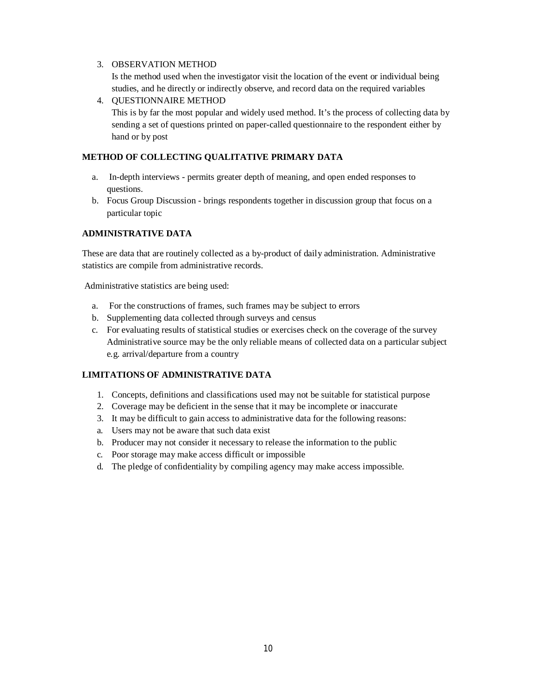## 3. OBSERVATION METHOD

Is the method used when the investigator visit the location of the event or individual being studies, and he directly or indirectly observe, and record data on the required variables

4. QUESTIONNAIRE METHOD This is by far the most popular and widely used method. It's the process of collecting data by sending a set of questions printed on paper-called questionnaire to the respondent either by hand or by post

## **METHOD OF COLLECTING QUALITATIVE PRIMARY DATA**

- a. In-depth interviews permits greater depth of meaning, and open ended responses to questions.
- b. Focus Group Discussion brings respondents together in discussion group that focus on a particular topic

## **ADMINISTRATIVE DATA**

These are data that are routinely collected as a by-product of daily administration. Administrative statistics are compile from administrative records.

Administrative statistics are being used:

- a. For the constructions of frames, such frames may be subject to errors
- b. Supplementing data collected through surveys and census
- c. For evaluating results of statistical studies or exercises check on the coverage of the survey Administrative source may be the only reliable means of collected data on a particular subject e.g. arrival/departure from a country

## **LIMITATIONS OF ADMINISTRATIVE DATA**

- 1. Concepts, definitions and classifications used may not be suitable for statistical purpose
- 2. Coverage may be deficient in the sense that it may be incomplete or inaccurate
- 3. It may be difficult to gain access to administrative data for the following reasons:
- a. Users may not be aware that such data exist
- b. Producer may not consider it necessary to release the information to the public
- c. Poor storage may make access difficult or impossible
- d. The pledge of confidentiality by compiling agency may make access impossible.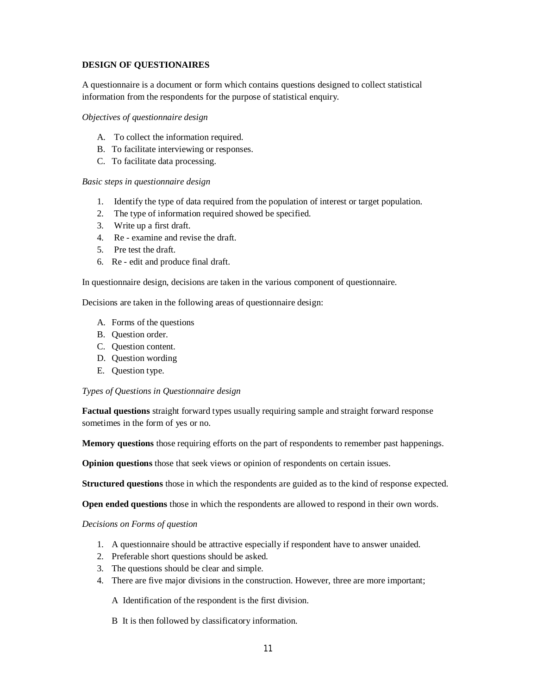## **DESIGN OF QUESTIONAIRES**

A questionnaire is a document or form which contains questions designed to collect statistical information from the respondents for the purpose of statistical enquiry.

## *Objectives of questionnaire design*

- A. To collect the information required.
- B. To facilitate interviewing or responses.
- C. To facilitate data processing.

## *Basic steps in questionnaire design*

- 1. Identify the type of data required from the population of interest or target population.
- 2. The type of information required showed be specified.
- 3. Write up a first draft.
- 4. Re examine and revise the draft.
- 5. Pre test the draft.
- 6. Re edit and produce final draft.

In questionnaire design, decisions are taken in the various component of questionnaire.

Decisions are taken in the following areas of questionnaire design:

- A. Forms of the questions
- B. Question order.
- C. Question content.
- D. Question wording
- E. Question type.

## *Types of Questions in Questionnaire design*

**Factual questions** straight forward types usually requiring sample and straight forward response sometimes in the form of yes or no.

**Memory questions** those requiring efforts on the part of respondents to remember past happenings.

**Opinion questions** those that seek views or opinion of respondents on certain issues.

**Structured questions** those in which the respondents are guided as to the kind of response expected.

**Open ended questions** those in which the respondents are allowed to respond in their own words.

*Decisions on Forms of question*

- 1. A questionnaire should be attractive especially if respondent have to answer unaided.
- 2. Preferable short questions should be asked.
- 3. The questions should be clear and simple.
- 4. There are five major divisions in the construction. However, three are more important;
	- A Identification of the respondent is the first division.
	- B It is then followed by classificatory information.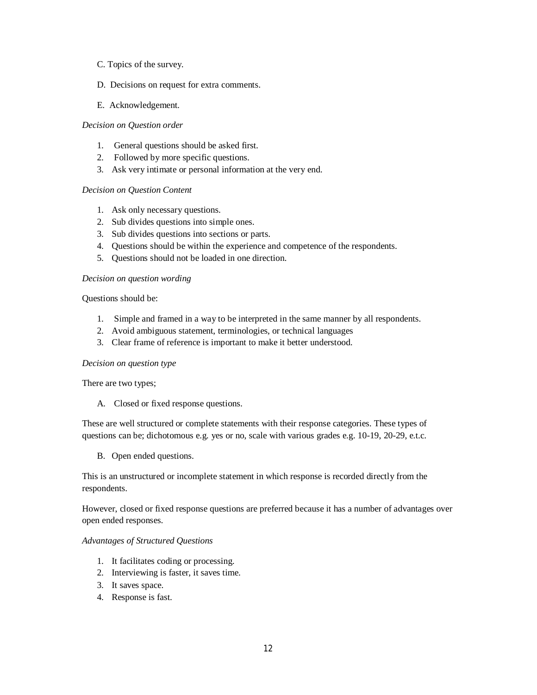- C. Topics of the survey.
- D. Decisions on request for extra comments.
- E. Acknowledgement.

## *Decision on Question order*

- 1. General questions should be asked first.
- 2. Followed by more specific questions.
- 3. Ask very intimate or personal information at the very end.

#### *Decision on Question Content*

- 1. Ask only necessary questions.
- 2. Sub divides questions into simple ones.
- 3. Sub divides questions into sections or parts.
- 4. Questions should be within the experience and competence of the respondents.
- 5. Questions should not be loaded in one direction.

#### *Decision on question wording*

Questions should be:

- 1. Simple and framed in a way to be interpreted in the same manner by all respondents.
- 2. Avoid ambiguous statement, terminologies, or technical languages
- 3. Clear frame of reference is important to make it better understood.

#### *Decision on question type*

There are two types;

A. Closed or fixed response questions.

These are well structured or complete statements with their response categories. These types of questions can be; dichotomous e.g. yes or no, scale with various grades e.g. 10-19, 20-29, e.t.c.

B. Open ended questions.

This is an unstructured or incomplete statement in which response is recorded directly from the respondents.

However, closed or fixed response questions are preferred because it has a number of advantages over open ended responses.

#### *Advantages of Structured Questions*

- 1. It facilitates coding or processing.
- 2. Interviewing is faster, it saves time.
- 3. It saves space.
- 4. Response is fast.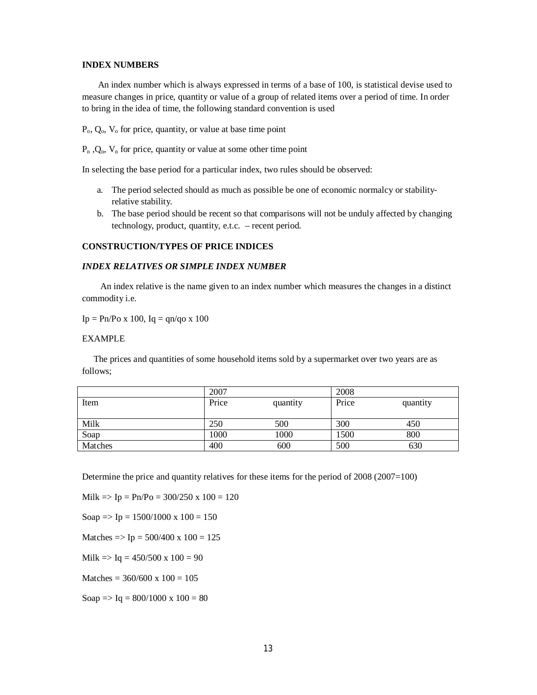#### **INDEX NUMBERS**

 An index number which is always expressed in terms of a base of 100, is statistical devise used to measure changes in price, quantity or value of a group of related items over a period of time. In order to bring in the idea of time, the following standard convention is used

 $P_0$ ,  $Q_0$ ,  $V_0$  for price, quantity, or value at base time point

 $P_n$ ,  $Q_n$ ,  $V_n$  for price, quantity or value at some other time point

In selecting the base period for a particular index, two rules should be observed:

- a. The period selected should as much as possible be one of economic normalcy or stabilityrelative stability.
- b. The base period should be recent so that comparisons will not be unduly affected by changing technology, product, quantity, e.t.c. – recent period.

## **CONSTRUCTION/TYPES OF PRICE INDICES**

#### *INDEX RELATIVES OR SIMPLE INDEX NUMBER*

 An index relative is the name given to an index number which measures the changes in a distinct commodity i.e.

 $Ip = Pn/Po x 100, Iq = qn/qo x 100$ 

#### EXAMPLE

 The prices and quantities of some household items sold by a supermarket over two years are as follows;

|         | 2007  |          | 2008  |          |
|---------|-------|----------|-------|----------|
| Item    | Price | quantity | Price | quantity |
|         |       |          |       |          |
| Milk    | 250   | 500      | 300   | 450      |
| Soap    | 1000  | 1000     | 1500  | 800      |
| Matches | 400   | 600      | 500   | 630      |

Determine the price and quantity relatives for these items for the period of 2008 (2007=100)

 $Milk = > Ip = Ph/Po = 300/250 \times 100 = 120$ 

Soap  $\Rightarrow$  Ip = 1500/1000 x 100 = 150

Matches  $\Rightarrow$  Ip = 500/400 x 100 = 125

 $Milk \Rightarrow Iq = 450/500 \times 100 = 90$ 

Matches =  $360/600 \times 100 = 105$ 

Soap  $\Rightarrow$  Iq = 800/1000 x 100 = 80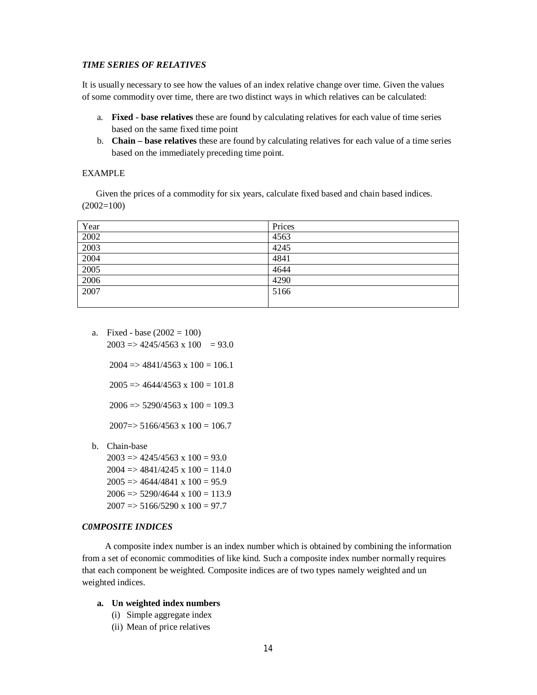#### *TIME SERIES OF RELATIVES*

It is usually necessary to see how the values of an index relative change over time. Given the values of some commodity over time, there are two distinct ways in which relatives can be calculated:

- a. **Fixed - base relatives** these are found by calculating relatives for each value of time series based on the same fixed time point
- b. **Chain – base relatives** these are found by calculating relatives for each value of a time series based on the immediately preceding time point.

## EXAMPLE

Given the prices of a commodity for six years, calculate fixed based and chain based indices.  $(2002=100)$ 

| Year | Prices |
|------|--------|
| 2002 | 4563   |
| 2003 | 4245   |
| 2004 | 4841   |
| 2005 | 4644   |
| 2006 | 4290   |
| 2007 | 5166   |
|      |        |

a. Fixed - base  $(2002 = 100)$ 

 $2003 \Rightarrow 4245/4563 \times 100 = 93.0$ 

 $2004 \Rightarrow 4841/4563 \times 100 = 106.1$ 

 $2005 \Rightarrow 4644/4563 \times 100 = 101.8$ 

 $2006 \Rightarrow 5290/4563 \times 100 = 109.3$ 

 $2007 \Rightarrow 5166/4563 \times 100 = 106.7$ 

b. Chain-base

 $2003 \Rightarrow 4245/4563 \times 100 = 93.0$  $2004 \Rightarrow 4841/4245 \times 100 = 114.0$  $2005 \Rightarrow 4644/4841 \times 100 = 95.9$  $2006 \Rightarrow 5290/4644 \times 100 = 113.9$  $2007 \Rightarrow 5166/5290 \times 100 = 97.7$ 

## *C0MPOSITE INDICES*

 A composite index number is an index number which is obtained by combining the information from a set of economic commodities of like kind. Such a composite index number normally requires that each component be weighted. Composite indices are of two types namely weighted and un weighted indices.

## **a. Un weighted index numbers**

- (i) Simple aggregate index
- (ii) Mean of price relatives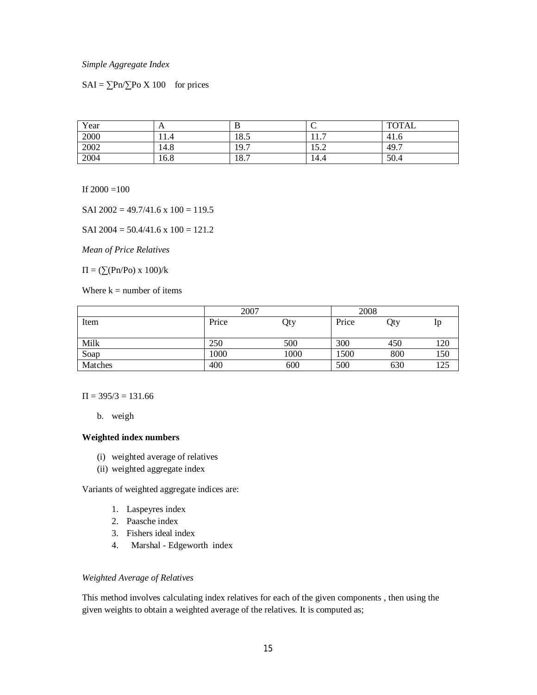#### *Simple Aggregate Index*

 $SAI = \sum Pn / \sum PoX 100$  for prices

| Year | A    |      |                | <b>TOTAL</b> |
|------|------|------|----------------|--------------|
| 2000 | 11.4 | 18.5 | -<br>.         | 41.6         |
| 2002 | 14.8 | 19.7 | 15 ገ<br>ے کہ ا | 49.7         |
| 2004 | 16.8 | 18.7 | 14.4           | 50.4         |

If  $2000 = 100$ 

SAI  $2002 = 49.7/41.6 \times 100 = 119.5$ 

SAI  $2004 = 50.4/41.6 \times 100 = 121.2$ 

*Mean of Price Relatives*

 $\Pi = (\sum (Pn/Po) x 100)/k$ 

Where  $k =$  number of items

|         | 2007  |      | 2008  |     |     |
|---------|-------|------|-------|-----|-----|
| Item    | Price | Qty  | Price | Qty | Ip  |
|         |       |      |       |     |     |
| Milk    | 250   | 500  | 300   | 450 | 120 |
| Soap    | 1000  | 1000 | 1500  | 800 | 150 |
| Matches | 400   | 600  | 500   | 630 | 125 |

 $\Pi = 395/3 = 131.66$ 

b. weigh

## **Weighted index numbers**

- (i) weighted average of relatives
- (ii) weighted aggregate index

Variants of weighted aggregate indices are:

- 1. Laspeyres index
- 2. Paasche index
- 3. Fishers ideal index
- 4. Marshal Edgeworth index

#### *Weighted Average of Relatives*

This method involves calculating index relatives for each of the given components , then using the given weights to obtain a weighted average of the relatives. It is computed as;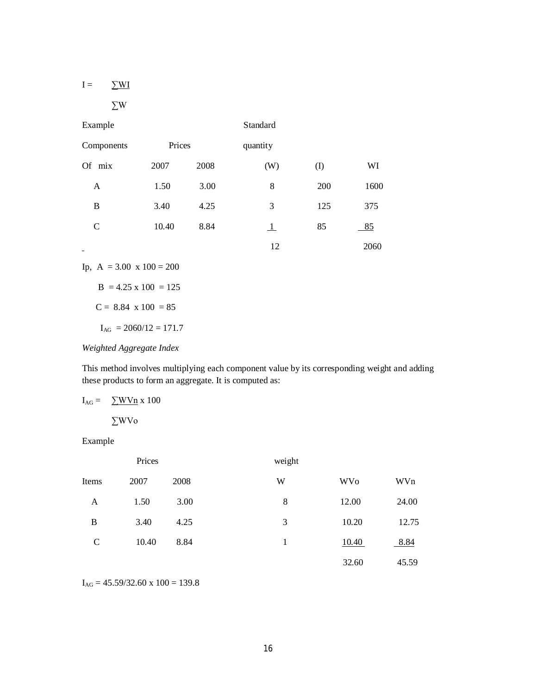|--|--|

$$
\Sigma \mathrm{W}
$$

| Example                  |        |      | Standard     |           |      |
|--------------------------|--------|------|--------------|-----------|------|
| Components               | Prices |      | quantity     |           |      |
| Of<br>mix                | 2007   | 2008 | (W)          | $\rm (I)$ | WI   |
| A                        | 1.50   | 3.00 | 8            | 200       | 1600 |
| B                        | 3.40   | 4.25 | 3            | 125       | 375  |
| $\mathsf{C}$             | 10.40  | 8.84 | $\mathbf{1}$ | 85        | 85   |
| $\overline{\phantom{0}}$ |        |      | 12           |           | 2060 |

Ip,  $A = 3.00 \times 100 = 200$ 

 $B = 4.25 \times 100 = 125$ 

 $C = 8.84$  x  $100 = 85$ 

 $I_{AG}$  = 2060/12 = 171.7

*Weighted Aggregate Index*

This method involves multiplying each component value by its corresponding weight and adding these products to form an aggregate. It is computed as:

 $I_{AG} = \sum W V n \times 100$ 

∑WVo

Example

|             | Prices |      | weight |            |       |
|-------------|--------|------|--------|------------|-------|
| Items       | 2007   | 2008 | W      | <b>WVo</b> | WVn   |
| A           | 1.50   | 3.00 | 8      | 12.00      | 24.00 |
| B           | 3.40   | 4.25 | 3      | 10.20      | 12.75 |
| $\mathbf C$ | 10.40  | 8.84 | 1      | 10.40      | 8.84  |
|             |        |      |        | 32.60      | 45.59 |

 $I_{AG} = 45.59/32.60 \times 100 = 139.8$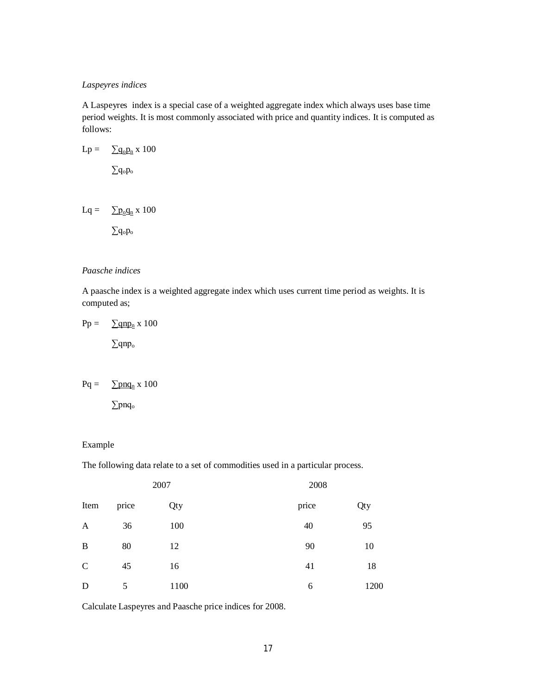## *Laspeyres indices*

A Laspeyres index is a special case of a weighted aggregate index which always uses base time period weights. It is most commonly associated with price and quantity indices. It is computed as follows:

$$
Lp = \sum q_o p_n \ge 100
$$
  

$$
\sum q_o p_o
$$

$$
Lq = \sum \underline{p_o q_n} \; x \; 100
$$

∑qop<sup>o</sup>

## *Paasche indices*

A paasche index is a weighted aggregate index which uses current time period as weights. It is computed as;

$$
Pp = \frac{\sum qnp_n x 100}{\sum qnp_o}
$$

$$
Pq = \sum p n q_n \ge 100
$$

∑pnq<sup>o</sup>

## Example

The following data relate to a set of commodities used in a particular process.

| 2007         |       |      | 2008  |      |  |
|--------------|-------|------|-------|------|--|
| Item         | price | Qty  | price | Qty  |  |
| A            | 36    | 100  | 40    | 95   |  |
| B            | 80    | 12   | 90    | 10   |  |
| $\mathsf{C}$ | 45    | 16   | 41    | 18   |  |
| D            | 5     | 1100 | 6     | 1200 |  |

Calculate Laspeyres and Paasche price indices for 2008.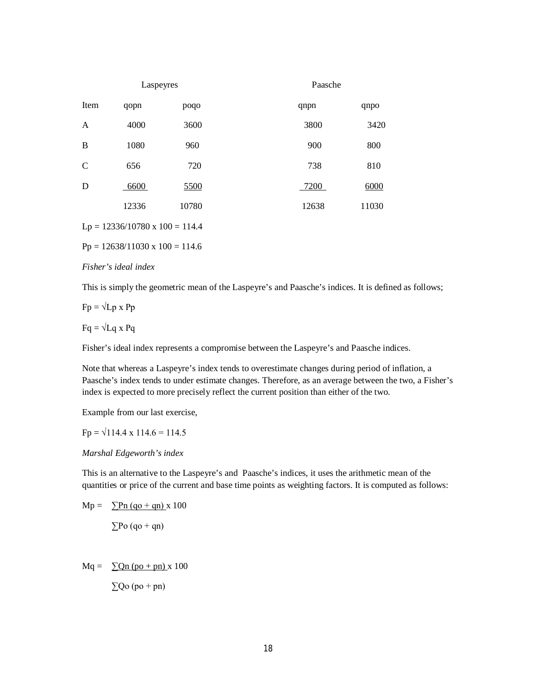|      | Laspeyres |       | Paasche |       |
|------|-----------|-------|---------|-------|
| Item | qopn      | poqo  | qnpn    | qnpo  |
| A    | 4000      | 3600  | 3800    | 3420  |
| B    | 1080      | 960   | 900     | 800   |
| C    | 656       | 720   | 738     | 810   |
| D    | 6600      | 5500  | 7200    | 6000  |
|      | 12336     | 10780 | 12638   | 11030 |

 $Lp = 12336/10780 \times 100 = 114.4$ 

 $Pp = 12638/11030 \times 100 = 114.6$ 

#### *Fisher's ideal index*

This is simply the geometric mean of the Laspeyre's and Paasche's indices. It is defined as follows;

 $Fp = \sqrt{Lp} x Pp$ 

 $Fq = \sqrt{Lq} x Pq$ 

Fisher's ideal index represents a compromise between the Laspeyre's and Paasche indices.

Note that whereas a Laspeyre's index tends to overestimate changes during period of inflation, a Paasche's index tends to under estimate changes. Therefore, as an average between the two, a Fisher's index is expected to more precisely reflect the current position than either of the two.

Example from our last exercise,

 $Fp = \sqrt{114.4 \times 114.6} = 114.5$ 

*Marshal Edgeworth's index*

This is an alternative to the Laspeyre's and Paasche's indices, it uses the arithmetic mean of the quantities or price of the current and base time points as weighting factors. It is computed as follows:

$$
Mp = \sum Pn (qo + qn) \times 100
$$

$$
\sum Po (qo + qn)
$$

 $Mq = \sum Qn (po + pn) x 100$  $\Sigma$ Qo (po + pn)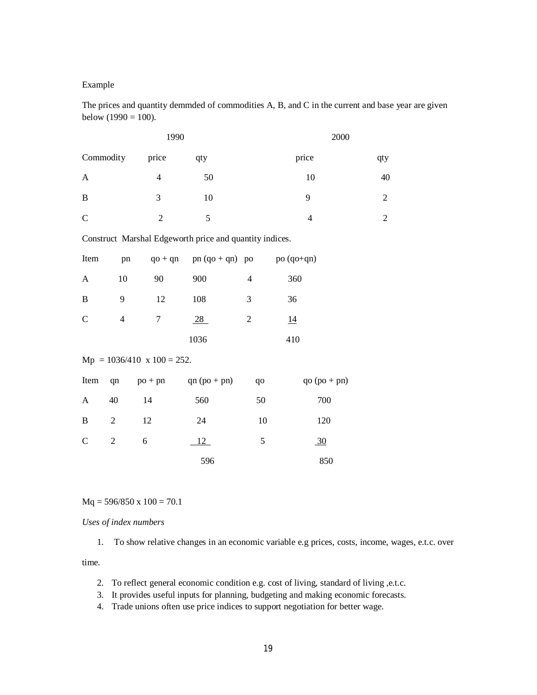## Example

The prices and quantity demmded of commodities A, B, and C in the current and base year are given below  $(1990 = 100)$ .

|              |                | 1990                              |                                                         |                | 2000           |            |
|--------------|----------------|-----------------------------------|---------------------------------------------------------|----------------|----------------|------------|
| Commodity    |                | price                             | qty                                                     |                | price          | qty        |
| A            |                | $\overline{4}$                    | 50                                                      |                | 10             | 40         |
| B            |                | 3                                 | 10                                                      |                | 9              | $\sqrt{2}$ |
| $\mathbf C$  |                | $\sqrt{2}$                        | 5                                                       |                | 4              | $\sqrt{2}$ |
|              |                |                                   | Construct Marshal Edgeworth price and quantity indices. |                |                |            |
| Item         | pn             |                                   | $qo + qn$ pn $(qo + qn)$ po                             |                | po (qo+qn)     |            |
| $\mathbf{A}$ | 10             | 90                                | 900                                                     | $\overline{4}$ | 360            |            |
| B            | 9              | 12                                | 108                                                     | 3              | 36             |            |
| $\mathsf{C}$ | $\overline{4}$ | $\boldsymbol{7}$                  | 28                                                      | $\sqrt{2}$     | 14             |            |
|              |                |                                   | 1036                                                    |                | 410            |            |
|              |                | $Mp = 1036/410 \times 100 = 252.$ |                                                         |                |                |            |
| Item         | qn             | $po + pn$                         | $qn (po + pn)$                                          | qo             | $qo (po + pn)$ |            |
| A            | 40             | 14                                | 560                                                     | 50             | 700            |            |
| B            | $\sqrt{2}$     | 12                                | 24                                                      | 10             | 120            |            |
| $\mathsf{C}$ | $\sqrt{2}$     | $\sqrt{6}$                        | 12                                                      | 5              | $\frac{30}{2}$ |            |
|              |                |                                   | 596                                                     |                | 850            |            |

 $Mq = 596/850 \times 100 = 70.1$ 

*Uses of index numbers*

1. To show relative changes in an economic variable e.g prices, costs, income, wages, e.t.c. over

time.

- 2. To reflect general economic condition e.g. cost of living, standard of living ,e.t.c.
- 3. It provides useful inputs for planning, budgeting and making economic forecasts.
- 4. Trade unions often use price indices to support negotiation for better wage.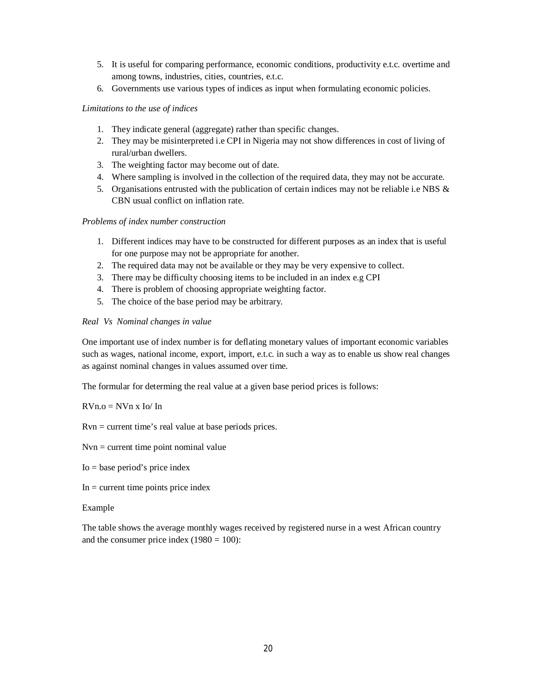- 5. It is useful for comparing performance, economic conditions, productivity e.t.c. overtime and among towns, industries, cities, countries, e.t.c.
- 6. Governments use various types of indices as input when formulating economic policies.

## *Limitations to the use of indices*

- 1. They indicate general (aggregate) rather than specific changes.
- 2. They may be misinterpreted i.e CPI in Nigeria may not show differences in cost of living of rural/urban dwellers.
- 3. The weighting factor may become out of date.
- 4. Where sampling is involved in the collection of the required data, they may not be accurate.
- 5. Organisations entrusted with the publication of certain indices may not be reliable i.e NBS & CBN usual conflict on inflation rate.

## *Problems of index number construction*

- 1. Different indices may have to be constructed for different purposes as an index that is useful for one purpose may not be appropriate for another.
- 2. The required data may not be available or they may be very expensive to collect.
- 3. There may be difficulty choosing items to be included in an index e.g CPI
- 4. There is problem of choosing appropriate weighting factor.
- 5. The choice of the base period may be arbitrary.

## *Real Vs Nominal changes in value*

One important use of index number is for deflating monetary values of important economic variables such as wages, national income, export, import, e.t.c. in such a way as to enable us show real changes as against nominal changes in values assumed over time.

The formular for determing the real value at a given base period prices is follows:

 $RVn.o = NVn x Io/ In$ 

Rvn = current time's real value at base periods prices.

 $Nvn =$  current time point nominal value

Io = base period's price index

 $In = current time points price index$ 

## Example

The table shows the average monthly wages received by registered nurse in a west African country and the consumer price index  $(1980 = 100)$ :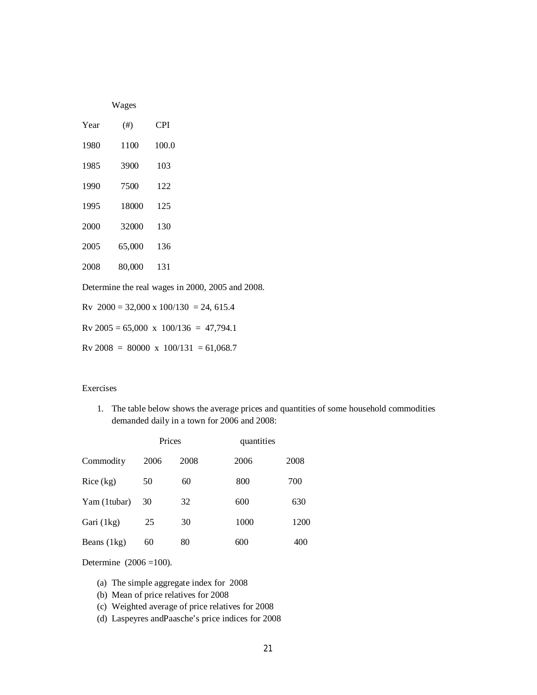|  | ١ |
|--|---|
|--|---|

| Year | $^{(+)}$ | <b>CPI</b> |
|------|----------|------------|
| 1980 | 1100     | 100.0      |
| 1985 | 3900     | 103        |
| 1990 | 7500     | 122        |
| 1995 | 18000    | 125        |
| 2000 | 32000    | 130        |
| 2005 | 65,000   | 136        |
| 2008 | 80,000   | 131        |
|      |          |            |

Determine the real wages in 2000, 2005 and 2008.

Rv  $2000 = 32,000 \times 100/130 = 24,615.4$ 

 $Rv 2005 = 65,000 \times 100/136 = 47,794.1$ 

 $Rv 2008 = 80000 \times 100/131 = 61,068.7$ 

## Exercises

1. The table below shows the average prices and quantities of some household commodities demanded daily in a town for 2006 and 2008:

|               | Prices |      | quantities |      |
|---------------|--------|------|------------|------|
| Commodity     | 2006   | 2008 | 2006       | 2008 |
| Rice (kg)     | 50     | 60   | 800        | 700  |
| Yam (1tubar)  | 30     | 32   | 600        | 630  |
| Gari (1kg)    | 25     | 30   | 1000       | 1200 |
| Beans $(1kg)$ | 60     | 80   | 600        | 400  |

Determine (2006 =100).

- (a) The simple aggregate index for 2008
- (b) Mean of price relatives for 2008
- (c) Weighted average of price relatives for 2008
- (d) Laspeyres andPaasche's price indices for 2008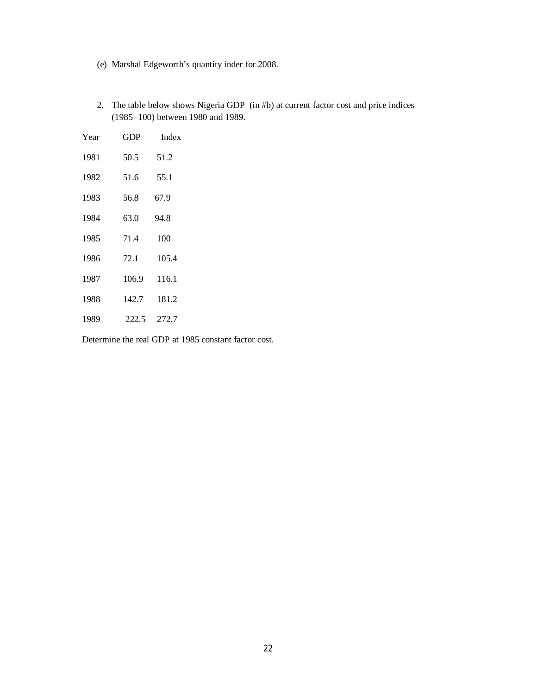- (e) Marshal Edgeworth's quantity inder for 2008.
- 2. The table below shows Nigeria GDP (in #b) at current factor cost and price indices (1985=100) between 1980 and 1989.

| Year | GDP   | Index |
|------|-------|-------|
| 1981 | 50.5  | 51.2  |
| 1982 | 51.6  | 55.1  |
| 1983 | 56.8  | 67.9  |
| 1984 | 63.0  | 94.8  |
| 1985 | 71.4  | 100   |
| 1986 | 72.1  | 105.4 |
| 1987 | 106.9 | 116.1 |
| 1988 | 142.7 | 181.2 |
| 1989 | 222.5 | 272.7 |

Determine the real GDP at 1985 constant factor cost.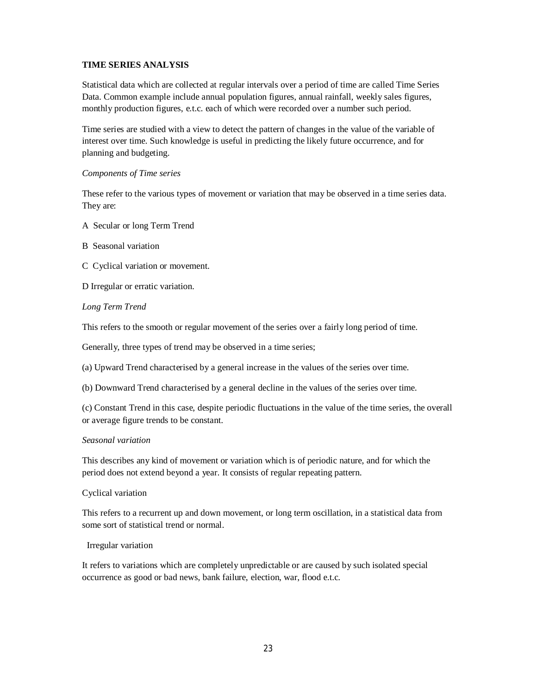## **TIME SERIES ANALYSIS**

Statistical data which are collected at regular intervals over a period of time are called Time Series Data. Common example include annual population figures, annual rainfall, weekly sales figures, monthly production figures, e.t.c. each of which were recorded over a number such period.

Time series are studied with a view to detect the pattern of changes in the value of the variable of interest over time. Such knowledge is useful in predicting the likely future occurrence, and for planning and budgeting.

#### *Components of Time series*

These refer to the various types of movement or variation that may be observed in a time series data. They are:

- A Secular or long Term Trend
- B Seasonal variation
- C Cyclical variation or movement.

D Irregular or erratic variation.

## *Long Term Trend*

This refers to the smooth or regular movement of the series over a fairly long period of time.

Generally, three types of trend may be observed in a time series;

(a) Upward Trend characterised by a general increase in the values of the series over time.

(b) Downward Trend characterised by a general decline in the values of the series over time.

(c) Constant Trend in this case, despite periodic fluctuations in the value of the time series, the overall or average figure trends to be constant.

#### *Seasonal variation*

This describes any kind of movement or variation which is of periodic nature, and for which the period does not extend beyond a year. It consists of regular repeating pattern.

## Cyclical variation

This refers to a recurrent up and down movement, or long term oscillation, in a statistical data from some sort of statistical trend or normal.

## Irregular variation

It refers to variations which are completely unpredictable or are caused by such isolated special occurrence as good or bad news, bank failure, election, war, flood e.t.c.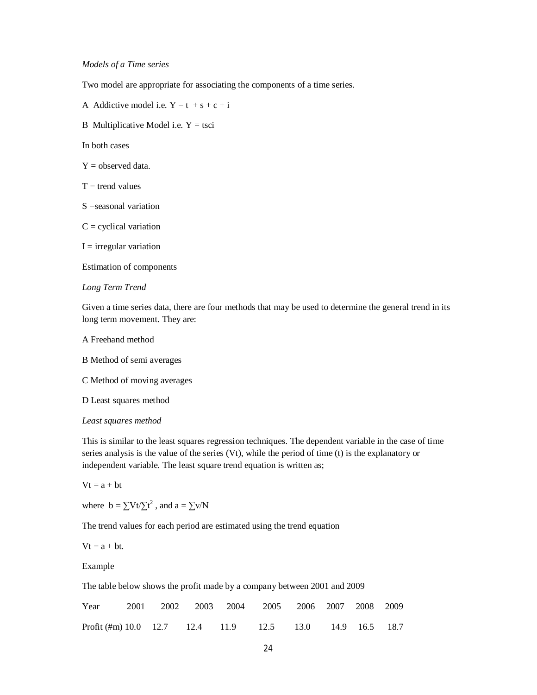#### *Models of a Time series*

Two model are appropriate for associating the components of a time series.

A Addictive model i.e.  $Y = t + s + c + i$ 

B Multiplicative Model i.e.  $Y = t$ sci

In both cases

 $Y =$  observed data.

- $T =$  trend values
- S =seasonal variation
- $C =$  cyclical variation

 $I = irregular variation$ 

Estimation of components

#### *Long Term Trend*

Given a time series data, there are four methods that may be used to determine the general trend in its long term movement. They are:

A Freehand method

B Method of semi averages

C Method of moving averages

D Least squares method

#### *Least squares method*

This is similar to the least squares regression techniques. The dependent variable in the case of time series analysis is the value of the series (Vt), while the period of time (t) is the explanatory or independent variable. The least square trend equation is written as;

 $Vt = a + bt$ 

where  $b = \sum Vt/\sum t^2$ , and  $a = \sum v/N$ 

The trend values for each period are estimated using the trend equation

 $Vt = a + bt.$ 

Example

The table below shows the profit made by a company between 2001 and 2009

| Year                                                     |  | 2001 2002 2003 2004 2005 2006 2007 2008 2009 |  |  |  |
|----------------------------------------------------------|--|----------------------------------------------|--|--|--|
| Profit (#m) 10.0 12.7 12.4 11.9 12.5 13.0 14.9 16.5 18.7 |  |                                              |  |  |  |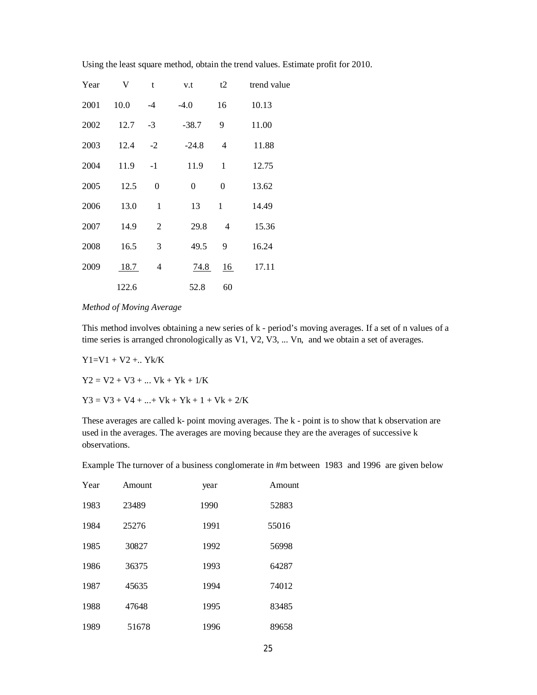Using the least square method, obtain the trend values. Estimate profit for 2010.

| Year | V     | t              | v.t            | t2               | trend value |
|------|-------|----------------|----------------|------------------|-------------|
| 2001 | 10.0  | $-4$           | $-4.0$         | 16               | 10.13       |
| 2002 | 12.7  | $-3$           | $-38.7$        | 9                | 11.00       |
| 2003 | 12.4  | $-2$           | $-24.8$        | $\overline{4}$   | 11.88       |
| 2004 | 11.9  | $-1$           | 11.9           | $\mathbf{1}$     | 12.75       |
| 2005 | 12.5  | $\Omega$       | $\overline{0}$ | $\boldsymbol{0}$ | 13.62       |
| 2006 | 13.0  | $\mathbf{1}$   | 13             | $\mathbf{1}$     | 14.49       |
| 2007 | 14.9  | $\overline{2}$ | 29.8           | 4                | 15.36       |
| 2008 | 16.5  | 3              | 49.5           | 9                | 16.24       |
| 2009 | 18.7  | 4              | 74.8           | $\underline{16}$ | 17.11       |
|      | 122.6 |                | 52.8           | 60               |             |

#### *Method of Moving Average*

This method involves obtaining a new series of k - period's moving averages. If a set of n values of a time series is arranged chronologically as V1, V2, V3, ... Vn, and we obtain a set of averages.

 $Y1=V1 + V2 + ... Yk/K$ 

 $Y2 = V2 + V3 + ...$  Vk + Yk + 1/K

 $Y3 = V3 + V4 + ... + Vk + Yk + 1 + Vk + 2/K$ 

These averages are called k- point moving averages. The k - point is to show that k observation are used in the averages. The averages are moving because they are the averages of successive k observations.

Example The turnover of a business conglomerate in #m between 1983 and 1996 are given below

| Year | Amount | year | Amount |
|------|--------|------|--------|
| 1983 | 23489  | 1990 | 52883  |
| 1984 | 25276  | 1991 | 55016  |
| 1985 | 30827  | 1992 | 56998  |
| 1986 | 36375  | 1993 | 64287  |
| 1987 | 45635  | 1994 | 74012  |
| 1988 | 47648  | 1995 | 83485  |
| 1989 | 51678  | 1996 | 89658  |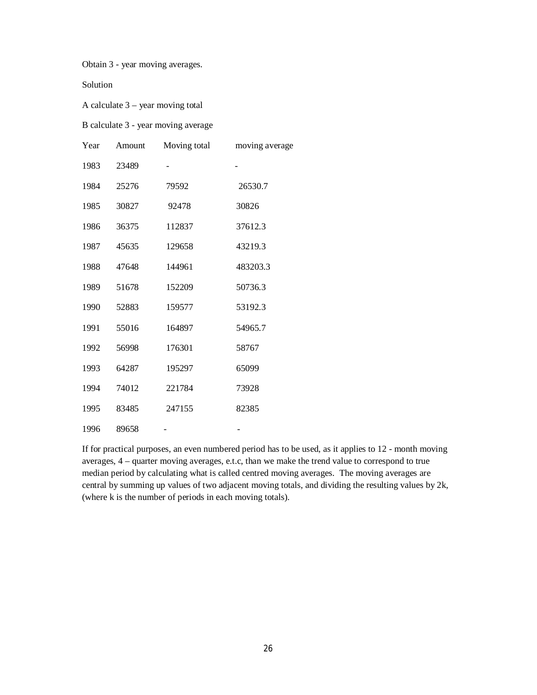Obtain 3 - year moving averages.

Solution

A calculate 3 – year moving total

B calculate 3 - year moving average

| Year | Amount | Moving total | moving average |
|------|--------|--------------|----------------|
| 1983 | 23489  |              |                |
| 1984 | 25276  | 79592        | 26530.7        |
| 1985 | 30827  | 92478        | 30826          |
| 1986 | 36375  | 112837       | 37612.3        |
| 1987 | 45635  | 129658       | 43219.3        |
| 1988 | 47648  | 144961       | 483203.3       |
| 1989 | 51678  | 152209       | 50736.3        |
| 1990 | 52883  | 159577       | 53192.3        |
| 1991 | 55016  | 164897       | 54965.7        |
| 1992 | 56998  | 176301       | 58767          |
| 1993 | 64287  | 195297       | 65099          |
| 1994 | 74012  | 221784       | 73928          |
| 1995 | 83485  | 247155       | 82385          |
| 1996 | 89658  |              |                |

If for practical purposes, an even numbered period has to be used, as it applies to 12 - month moving averages, 4 – quarter moving averages, e.t.c, than we make the trend value to correspond to true median period by calculating what is called centred moving averages. The moving averages are central by summing up values of two adjacent moving totals, and dividing the resulting values by 2k, (where k is the number of periods in each moving totals).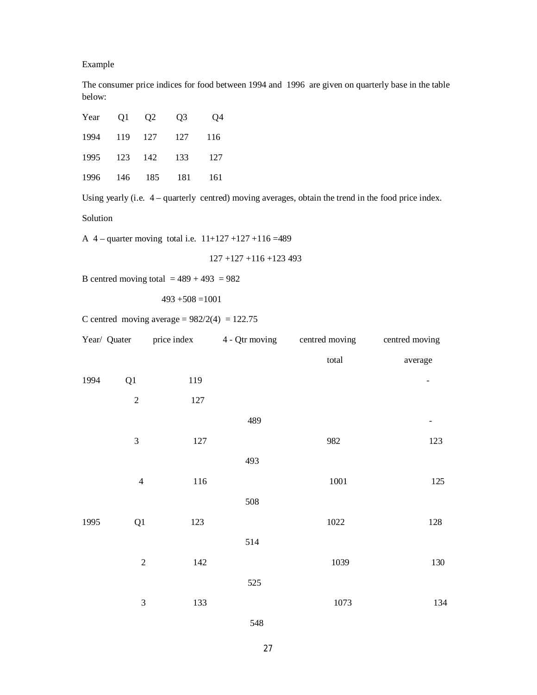Example

The consumer price indices for food between 1994 and 1996 are given on quarterly base in the table below:

|  | Year Q1 Q2 Q3 Q4     |  |
|--|----------------------|--|
|  | 1994 119 127 127 116 |  |
|  | 1995 123 142 133 127 |  |
|  | 1996 146 185 181 161 |  |

Using yearly (i.e. 4 – quarterly centred) moving averages, obtain the trend in the food price index.

Solution

A 4 – quarter moving total i.e.  $11+127+127+116=489$ 

$$
127 + 127 + 116 + 123493
$$

B centred moving total  $= 489 + 493 = 982$ 

 $493 + 508 = 1001$ 

C centred moving average =  $982/2(4) = 122.75$ 

|      | Year/ Quater   | price index | 4 - Qtr moving | centred moving | centred moving |
|------|----------------|-------------|----------------|----------------|----------------|
|      |                |             |                | total          | average        |
| 1994 | Q1             | 119         |                |                |                |
|      | $\overline{2}$ | 127         |                |                |                |
|      |                |             | 489            |                |                |
|      | 3              | 127         |                | 982            | 123            |
|      |                |             | 493            |                |                |
|      | $\overline{4}$ | 116         |                | $1001\,$       | 125            |
|      |                |             | 508            |                |                |
| 1995 | Q1             | 123         |                | 1022           | 128            |
|      |                |             | 514            |                |                |
|      | $\overline{c}$ | 142         |                | 1039           | 130            |
|      |                |             | 525            |                |                |
|      | 3              | 133         |                | 1073           | 134            |
|      |                |             |                |                |                |

548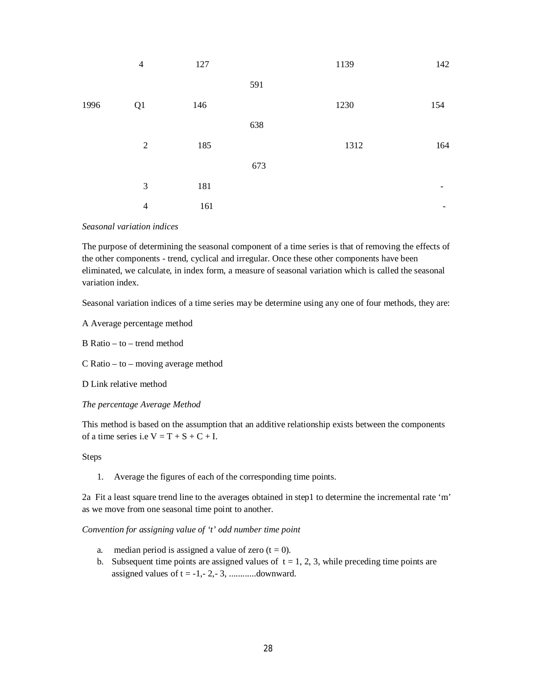|      | $\overline{4}$ | 127 |     | 1139 | 142 |
|------|----------------|-----|-----|------|-----|
|      |                |     | 591 |      |     |
| 1996 | Q1             | 146 |     | 1230 | 154 |
|      |                |     | 638 |      |     |
|      | $\overline{2}$ | 185 |     | 1312 | 164 |
|      |                |     | 673 |      |     |
|      | 3              | 181 |     |      | -   |
|      | $\overline{4}$ | 161 |     |      | -   |

#### *Seasonal variation indices*

The purpose of determining the seasonal component of a time series is that of removing the effects of the other components - trend, cyclical and irregular. Once these other components have been eliminated, we calculate, in index form, a measure of seasonal variation which is called the seasonal variation index.

Seasonal variation indices of a time series may be determine using any one of four methods, they are:

A Average percentage method

B Ratio – to – trend method

C Ratio – to – moving average method

D Link relative method

*The percentage Average Method*

This method is based on the assumption that an additive relationship exists between the components of a time series i.e  $V = T + S + C + I$ .

#### Steps

1. Average the figures of each of the corresponding time points.

2a Fit a least square trend line to the averages obtained in step1 to determine the incremental rate 'm' as we move from one seasonal time point to another.

*Convention for assigning value of 't' odd number time point*

- a. median period is assigned a value of zero  $(t = 0)$ .
- b. Subsequent time points are assigned values of  $t = 1, 2, 3$ , while preceding time points are assigned values of t = -1,- 2,- 3, ............downward.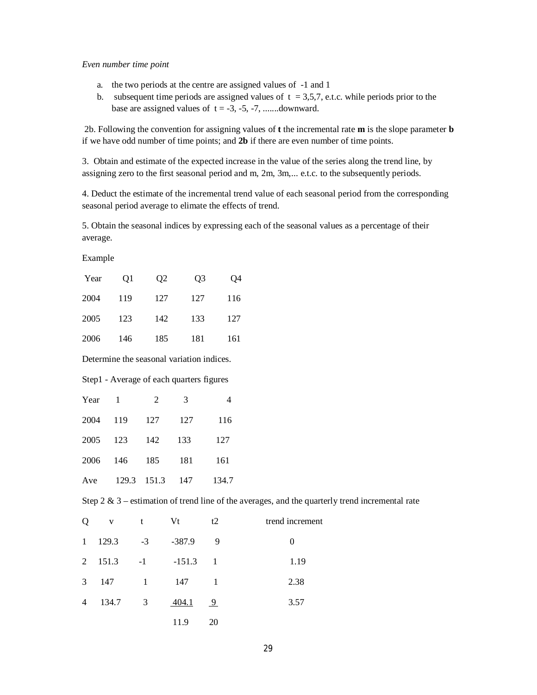#### *Even number time point*

- a. the two periods at the centre are assigned values of -1 and 1
- b. subsequent time periods are assigned values of  $t = 3,5,7$ , e.t.c. while periods prior to the base are assigned values of  $t = -3, -5, -7, \dots$  downward.

2b. Following the convention for assigning values of **t** the incremental rate **m** is the slope parameter **b** if we have odd number of time points; and **2b** if there are even number of time points.

3. Obtain and estimate of the expected increase in the value of the series along the trend line, by assigning zero to the first seasonal period and m, 2m, 3m,... e.t.c. to the subsequently periods.

4. Deduct the estimate of the incremental trend value of each seasonal period from the corresponding seasonal period average to elimate the effects of trend.

5. Obtain the seasonal indices by expressing each of the seasonal values as a percentage of their average.

Example

| Year | Q1           | Q2             | Q3                                                                                                                                                                                                                                                                                                                                                                                   | Q4    |
|------|--------------|----------------|--------------------------------------------------------------------------------------------------------------------------------------------------------------------------------------------------------------------------------------------------------------------------------------------------------------------------------------------------------------------------------------|-------|
| 2004 | 119          | 127            | 127                                                                                                                                                                                                                                                                                                                                                                                  | 116   |
| 2005 | 123          | 142            | 133                                                                                                                                                                                                                                                                                                                                                                                  | 127   |
| 2006 | 146          | 185            | 181                                                                                                                                                                                                                                                                                                                                                                                  | 161   |
|      |              |                | Determine the seasonal variation indices.                                                                                                                                                                                                                                                                                                                                            |       |
|      |              |                | Step1 - Average of each quarters figures                                                                                                                                                                                                                                                                                                                                             |       |
| Year | $\mathbf{1}$ | $\overline{c}$ | 3                                                                                                                                                                                                                                                                                                                                                                                    | 4     |
| 2004 | 119          | 127            | 127                                                                                                                                                                                                                                                                                                                                                                                  | 116   |
| 2005 | 123          | 142            | 133                                                                                                                                                                                                                                                                                                                                                                                  | 127   |
| 2006 | 146          | 185            | 181                                                                                                                                                                                                                                                                                                                                                                                  | 161   |
| Ave  | 129.3        | 151.3          | 147                                                                                                                                                                                                                                                                                                                                                                                  | 134.7 |
|      |              |                | $\alpha$ , $\alpha$ , $\alpha$ , $\beta$ , $\beta$ , $\beta$ , $\beta$ , $\beta$ , $\beta$ , $\beta$ , $\beta$ , $\beta$ , $\beta$ , $\beta$ , $\beta$ , $\beta$ , $\beta$ , $\beta$ , $\beta$ , $\beta$ , $\beta$ , $\beta$ , $\beta$ , $\beta$ , $\beta$ , $\beta$ , $\beta$ , $\beta$ , $\beta$ , $\beta$ , $\beta$ , $\beta$ , $\beta$ , $\beta$ , $\beta$ , $\beta$ , $\beta$ , |       |

Step 2  $\&$  3 – estimation of trend line of the averages, and the quarterly trend incremental rate

| Q              | $\mathbf{V}$ | t                       | Vt       | t2             | trend increment |
|----------------|--------------|-------------------------|----------|----------------|-----------------|
| $\mathbf{1}$   | 129.3        | $-3$                    | $-387.9$ | 9              | 0               |
| 2              | 151.3        | $-1$                    | $-151.3$ | $\blacksquare$ | 1.19            |
| 3              | 147          | $\overline{1}$          | 147      |                | 2.38            |
| $\overline{4}$ | 134.7        | $\overline{\mathbf{3}}$ | 404.1    | 9              | 3.57            |
|                |              |                         | 11.9     | 20             |                 |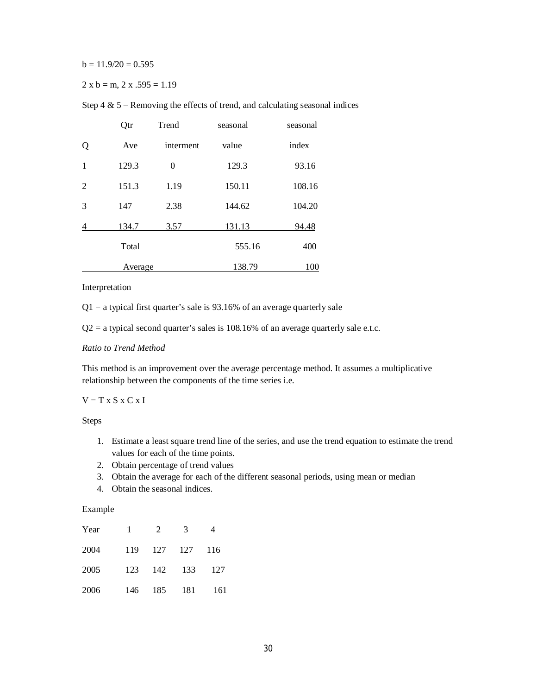$b = 11.9/20 = 0.595$ 

$$
2 \times b = m, 2 \times .595 = 1.19
$$

Step  $4 \& 5$  – Removing the effects of trend, and calculating seasonal indices

|                | Qtr     | Trend     | seasonal | seasonal |
|----------------|---------|-----------|----------|----------|
| Q              | Ave     | interment | value    | index    |
| $\mathbf{1}$   | 129.3   | $\theta$  | 129.3    | 93.16    |
| $\overline{2}$ | 151.3   | 1.19      | 150.11   | 108.16   |
| 3              | 147     | 2.38      | 144.62   | 104.20   |
| 4              | 134.7   | 3.57      | 131.13   | 94.48    |
|                | Total   |           | 555.16   | 400      |
|                | Average |           | 138.79   | 100      |

#### Interpretation

 $Q1 = a$  typical first quarter's sale is 93.16% of an average quarterly sale

 $Q2$  = a typical second quarter's sales is 108.16% of an average quarterly sale e.t.c.

## *Ratio to Trend Method*

This method is an improvement over the average percentage method. It assumes a multiplicative relationship between the components of the time series i.e.

#### $V = T x S x C x I$

Steps

- 1. Estimate a least square trend line of the series, and use the trend equation to estimate the trend values for each of the time points.
- 2. Obtain percentage of trend values
- 3. Obtain the average for each of the different seasonal periods, using mean or median
- 4. Obtain the seasonal indices.

## Example

| Year | $\mathbf{1}$ | 2       | 3       |       |
|------|--------------|---------|---------|-------|
| 2004 | 119          | 127 127 |         | - 116 |
| 2005 | 123          |         | 142 133 | - 127 |
| 2006 | 146          |         | 185 181 | - 161 |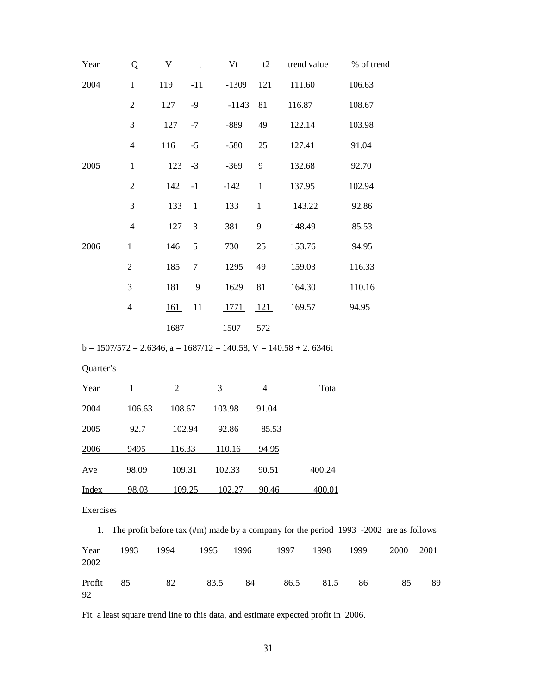| Year                                                                                                  | Q              | $\mathbf V$ | $\mathbf t$    | Vt             | t2             | trend value | % of trend |
|-------------------------------------------------------------------------------------------------------|----------------|-------------|----------------|----------------|----------------|-------------|------------|
| 2004                                                                                                  | $\mathbf{1}$   | 119         | $-11$          | $-1309$        | 121            | 111.60      | 106.63     |
|                                                                                                       | $\overline{2}$ | 127         | $-9$           | $-1143$        | 81             | 116.87      | 108.67     |
|                                                                                                       | 3              | 127         | $-7$           | $-889$         | 49             | 122.14      | 103.98     |
|                                                                                                       | $\overline{4}$ | 116         | $-5$           | $-580$         | 25             | 127.41      | 91.04      |
| 2005                                                                                                  | $\mathbf{1}$   | 123         | $-3$           | $-369$         | 9              | 132.68      | 92.70      |
|                                                                                                       | $\sqrt{2}$     | 142         | $-1$           | $-142$         | $\mathbf{1}$   | 137.95      | 102.94     |
|                                                                                                       | 3              | 133         | $\mathbf{1}$   | 133            | $\mathbf{1}$   | 143.22      | 92.86      |
|                                                                                                       | $\overline{4}$ | 127         | $\mathfrak{Z}$ | 381            | 9              | 148.49      | 85.53      |
| 2006                                                                                                  | $\mathbf{1}$   | 146         | 5              | 730            | 25             | 153.76      | 94.95      |
|                                                                                                       | $\overline{2}$ | 185         | $\tau$         | 1295           | 49             | 159.03      | 116.33     |
|                                                                                                       | 3              | 181         | 9              | 1629           | 81             | 164.30      | 110.16     |
|                                                                                                       | $\overline{4}$ | 161         | 11             | 1771           | 121            | 169.57      | 94.95      |
|                                                                                                       |                | 1687        |                | 1507           | 572            |             |            |
| $b = 1507/572 = 2.6346$ , $a = 1687/12 = 140.58$ , $V = 140.58 + 2.6346t$                             |                |             |                |                |                |             |            |
| Quarter's                                                                                             |                |             |                |                |                |             |            |
| Year                                                                                                  | $\mathbf{1}$   | $\sqrt{2}$  |                | $\mathfrak{Z}$ | $\overline{4}$ | Total       |            |
| 2004                                                                                                  | 106.63         | 108.67      |                | 103.98         | 91.04          |             |            |
| 2005                                                                                                  | 92.7           | 102.94      |                | 92.86          | 85.53          |             |            |
| 2006                                                                                                  | 9495           | 116.33      |                | 110.16         | 94.95          |             |            |
| Ave                                                                                                   | 98.09          | 109.31      |                | 102.33         | 90.51          | 400.24      |            |
| <b>Index</b>                                                                                          | 98.03          | 109.25      |                | 102.27         | 90.46          | 400.01      |            |
| Exercises                                                                                             |                |             |                |                |                |             |            |
| The profit before tax $(\text{\#m})$ made by a company for the period 1993 -2002 are as follows<br>1. |                |             |                |                |                |             |            |

| Year<br>2002 | 1993 | 1994 | 1995 | 1996 1997 |      | 1998 | 1999 | 2000 | 2001 |
|--------------|------|------|------|-----------|------|------|------|------|------|
| Profit<br>92 | 85   | 82   | 83.5 | 84        | 86.5 | 81.5 | 86   | 85   | 89   |

Fit a least square trend line to this data, and estimate expected profit in 2006.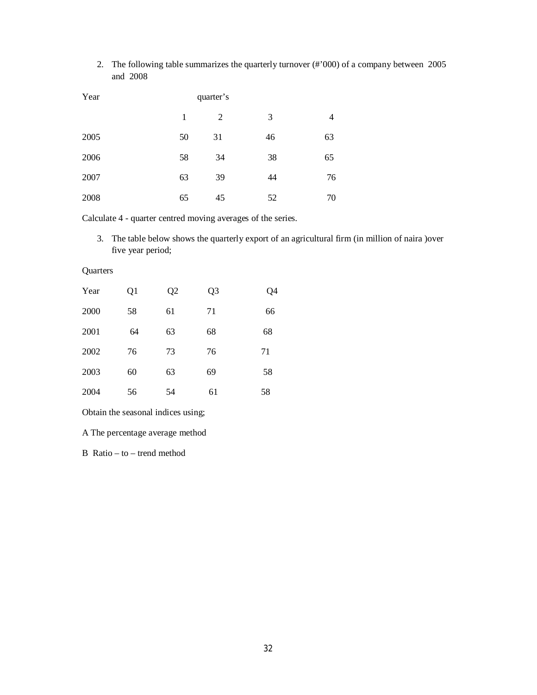2. The following table summarizes the quarterly turnover (#'000) of a company between 2005 and 2008

| Year |    | quarter's |    |    |
|------|----|-----------|----|----|
|      | 1  | 2         | 3  | 4  |
| 2005 | 50 | 31        | 46 | 63 |
| 2006 | 58 | 34        | 38 | 65 |
| 2007 | 63 | 39        | 44 | 76 |
| 2008 | 65 | 45        | 52 | 70 |

Calculate 4 - quarter centred moving averages of the series.

3. The table below shows the quarterly export of an agricultural firm (in million of naira )over five year period;

| Year | Q1 | Q2 | Q <sub>3</sub> | Q4 |
|------|----|----|----------------|----|
| 2000 | 58 | 61 | 71             | 66 |
| 2001 | 64 | 63 | 68             | 68 |
| 2002 | 76 | 73 | 76             | 71 |
| 2003 | 60 | 63 | 69             | 58 |
| 2004 | 56 | 54 | 61             | 58 |
|      |    |    |                |    |

Obtain the seasonal indices using;

A The percentage average method

B Ratio – to – trend method

**Quarters**